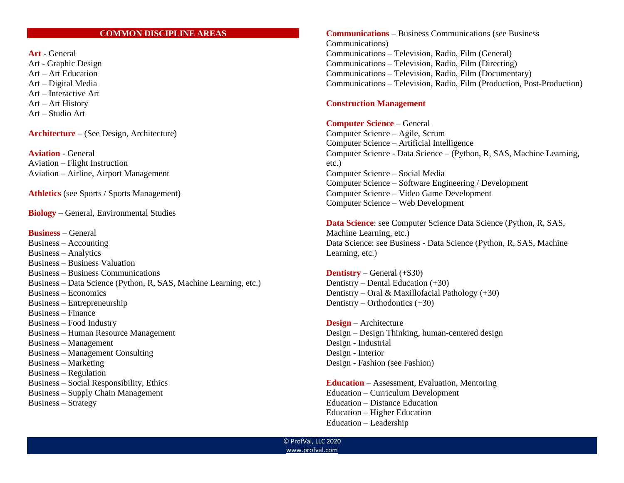## **COMMON DISCIPLINE AREAS**

**Art** - General Art - Graphic Design Art – Art Education Art – Digital Media Art – Interactive Art Art – Art History Art – Studio Art

**Architecture** – (See Design, Architecture)

**Aviation** - General Aviation – Flight Instruction Aviation – Airline, Airport Management

**Athletics** (see Sports / Sports Management)

**Biology –** General, Environmental Studies

**Business** – General Business – Accounting Business – Analytics Business – Business Valuation Business – Business Communications Business – Data Science (Python, R, SAS, Machine Learning, etc.) Business – Economics Business – Entrepreneurship Business – Finance Business – Food Industry Business – Human Resource Management Business – Management Business – Management Consulting Business – Marketing Business – Regulation Business – Social Responsibility, Ethics Business – Supply Chain Management Business – Strategy

**Communications** – Business Communications (see Business Communications) Communications – Television, Radio, Film (General) Communications – Television, Radio, Film (Directing) Communications – Television, Radio, Film (Documentary) Communications – Television, Radio, Film (Production, Post-Production)

## **Construction Management**

## **Computer Science** – General

Computer Science – Agile, Scrum Computer Science – Artificial Intelligence Computer Science - Data Science – (Python, R, SAS, Machine Learning, etc.) Computer Science – Social Media Computer Science – Software Engineering / Development Computer Science – Video Game Development Computer Science – Web Development

**Data Science**: see Computer Science Data Science (Python, R, SAS, Machine Learning, etc.) Data Science: see Business - Data Science (Python, R, SAS, Machine Learning, etc.)

**Dentistry** – General (+\$30) Dentistry – Dental Education (+30) Dentistry – Oral & Maxillofacial Pathology  $(+30)$ Dentistry – Orthodontics (+30)

**Design** – Architecture Design – Design Thinking, human-centered design Design - Industrial Design - Interior Design - Fashion (see Fashion)

**Education** – Assessment, Evaluation, Mentoring Education – Curriculum Development Education – Distance Education Education – Higher Education Education – Leadership

© ProfVal, LLC 2020 [www.profval.com](http://www.profval.com/)